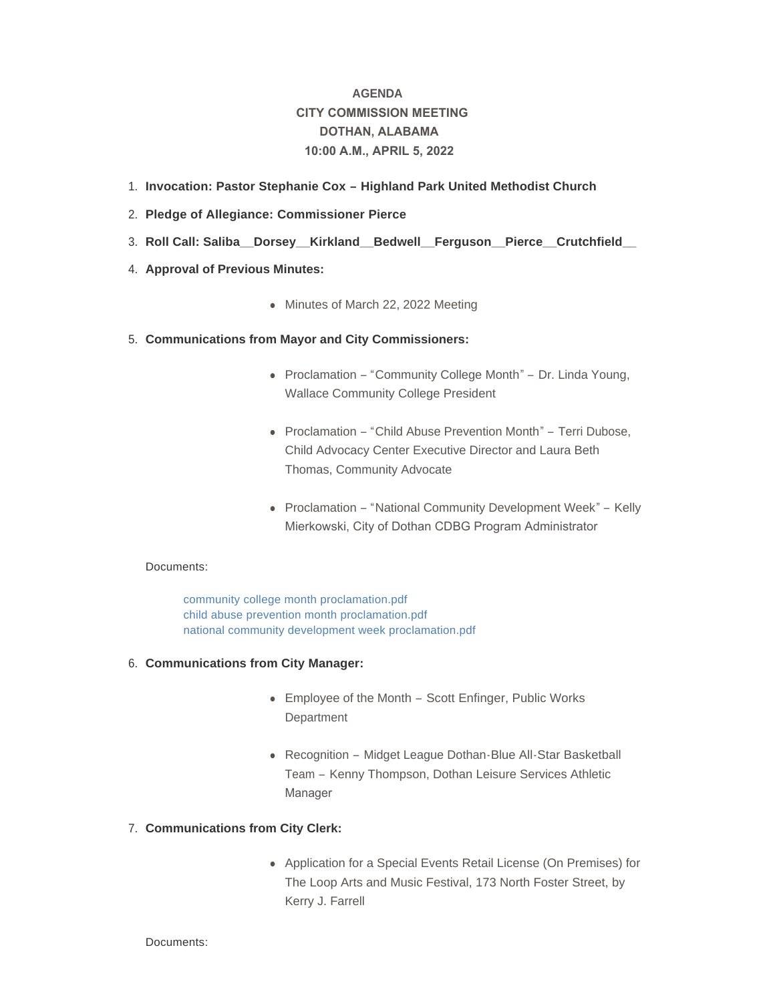# **AGENDA CITY COMMISSION MEETING DOTHAN, ALABAMA 10:00 A.M., APRIL 5, 2022**

- **Invocation: Pastor Stephanie Cox – Highland Park United Methodist Church**  1.
- **Pledge of Allegiance: Commissioner Pierce** 2.
- **Roll Call: Saliba\_\_Dorsey\_\_Kirkland\_\_Bedwell\_\_Ferguson\_\_Pierce\_\_Crutchfield\_\_**  3.
- 4. **Approval of Previous Minutes:** 
	- Minutes of March 22, 2022 Meeting

## **Communications from Mayor and City Commissioners:** 5.

- Proclamation "Community College Month" Dr. Linda Young, Wallace Community College President
- Proclamation "Child Abuse Prevention Month" Terri Dubose, Child Advocacy Center Executive Director and Laura Beth Thomas, Community Advocate
- Proclamation "National Community Development Week" Kelly Mierkowski, City of Dothan CDBG Program Administrator

## Documents:

[community college month proclamation.pdf](http://www.dothan.org/AgendaCenter/ViewFile/Item/7696?fileID=12196) [child abuse prevention month proclamation.pdf](http://www.dothan.org/AgendaCenter/ViewFile/Item/7696?fileID=12197) [national community development week proclamation.pdf](http://www.dothan.org/AgendaCenter/ViewFile/Item/7696?fileID=12198)

## **Communications from City Manager:** 6.

- Employee of the Month Scott Enfinger, Public Works **Department**
- Recognition Midget League Dothan-Blue All-Star Basketball Team – Kenny Thompson, Dothan Leisure Services Athletic Manager

# **Communications from City Clerk:** 7.

• Application for a Special Events Retail License (On Premises) for The Loop Arts and Music Festival, 173 North Foster Street, by Kerry J. Farrell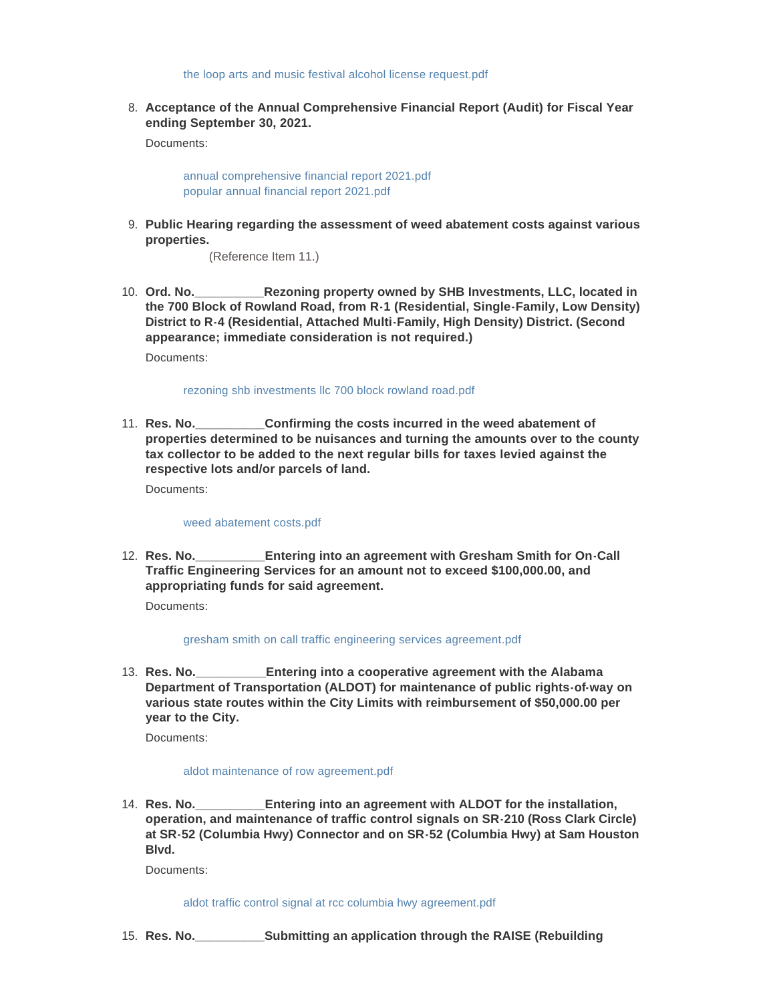[the loop arts and music festival alcohol license request.pdf](http://www.dothan.org/AgendaCenter/ViewFile/Item/7698?fileID=12199)

**Acceptance of the Annual Comprehensive Financial Report (Audit) for Fiscal Year**  8. **ending September 30, 2021.**

Documents:

[annual comprehensive financial report 2021.pdf](http://www.dothan.org/AgendaCenter/ViewFile/Item/7673?fileID=12177) [popular annual financial report 2021.pdf](http://www.dothan.org/AgendaCenter/ViewFile/Item/7673?fileID=12178)

**Public Hearing regarding the assessment of weed abatement costs against various**  9. **properties.** 

(Reference Item 11.)

**\_\_Rezoning property owned by SHB Investments, LLC, located in the 700 Block of Rowland Road, from R-1 (Residential, Single-Family, Low Density) District to R-4 (Residential, Attached Multi-Family, High Density) District. (Second appearance; immediate consideration is not required.)** 10. Ord. No.

Documents:

#### [rezoning shb investments llc 700 block rowland road.pdf](http://www.dothan.org/AgendaCenter/ViewFile/Item/7675?fileID=12179)

Confirming the costs incurred in the weed abatement of **properties determined to be nuisances and turning the amounts over to the county tax collector to be added to the next regular bills for taxes levied against the respective lots and/or parcels of land.** 11. Res. No.

Documents:

## [weed abatement costs.pdf](http://www.dothan.org/AgendaCenter/ViewFile/Item/7676?fileID=12180)

**\_Entering into an agreement with Gresham Smith for On-Call Traffic Engineering Services for an amount not to exceed \$100,000.00, and appropriating funds for said agreement.** 12. Res. No.

Documents:

#### [gresham smith on call traffic engineering services agreement.pdf](http://www.dothan.org/AgendaCenter/ViewFile/Item/7677?fileID=12181)

**Entering into a cooperative agreement with the Alabama Department of Transportation (ALDOT) for maintenance of public rights-of-way on various state routes within the City Limits with reimbursement of \$50,000.00 per year to the City.** 13. **Res. No.** 

Documents:

#### [aldot maintenance of row agreement.pdf](http://www.dothan.org/AgendaCenter/ViewFile/Item/7678?fileID=12182)

**Entering into an agreement with ALDOT for the installation, operation, and maintenance of traffic control signals on SR-210 (Ross Clark Circle) at SR-52 (Columbia Hwy) Connector and on SR-52 (Columbia Hwy) at Sam Houston Blvd.** 14. **Res. No.** 

Documents:

[aldot traffic control signal at rcc columbia hwy agreement.pdf](http://www.dothan.org/AgendaCenter/ViewFile/Item/7679?fileID=12183)

**Res. No.\_\_\_\_\_\_\_\_\_\_Submitting an application through the RAISE (Rebuilding**  15.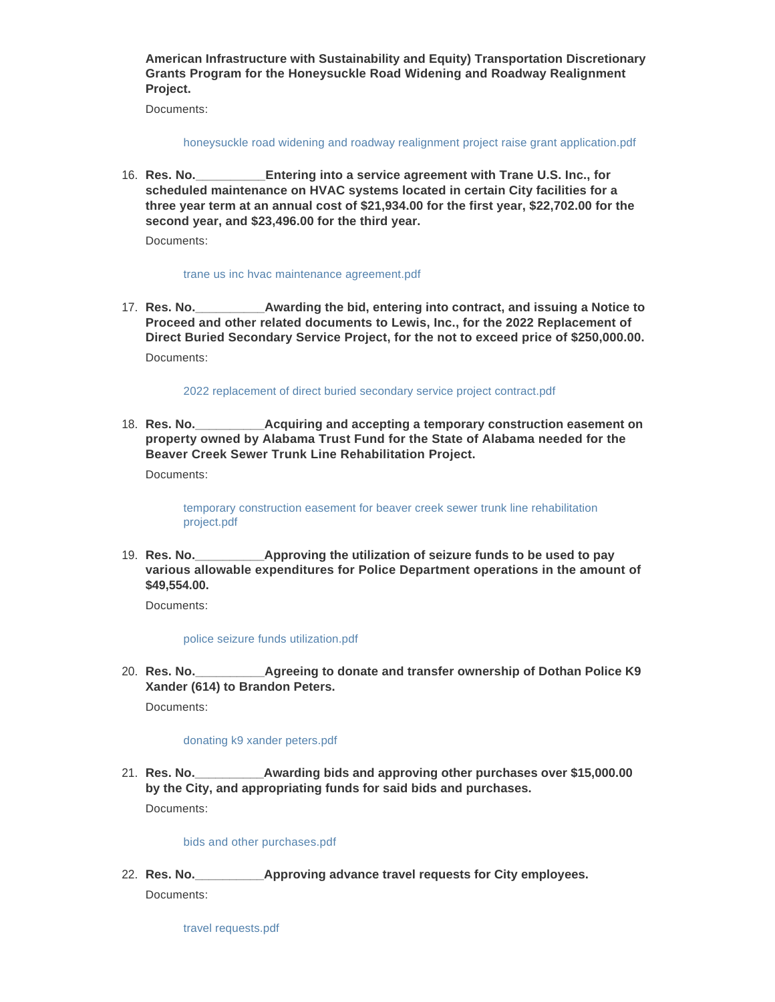**American Infrastructure with Sustainability and Equity) Transportation Discretionary Grants Program for the Honeysuckle Road Widening and Roadway Realignment Project.**

Documents:

[honeysuckle road widening and roadway realignment project raise grant application.pdf](http://www.dothan.org/AgendaCenter/ViewFile/Item/7680?fileID=12184)

**Entering into a service agreement with Trane U.S. Inc., for scheduled maintenance on HVAC systems located in certain City facilities for a three year term at an annual cost of \$21,934.00 for the first year, \$22,702.00 for the second year, and \$23,496.00 for the third year.** 16. Res. No.

Documents:

#### [trane us inc hvac maintenance agreement.pdf](http://www.dothan.org/AgendaCenter/ViewFile/Item/7681?fileID=12185)

Awarding the bid, entering into contract, and issuing a Notice to **Proceed and other related documents to Lewis, Inc., for the 2022 Replacement of Direct Buried Secondary Service Project, for the not to exceed price of \$250,000.00.** 17. Res. No. Documents:

[2022 replacement of direct buried secondary service project contract.pdf](http://www.dothan.org/AgendaCenter/ViewFile/Item/7682?fileID=12186)

**Acquiring and accepting a temporary construction easement on property owned by Alabama Trust Fund for the State of Alabama needed for the Beaver Creek Sewer Trunk Line Rehabilitation Project.** 18. Res. No.

Documents:

[temporary construction easement for beaver creek sewer trunk line rehabilitation](http://www.dothan.org/AgendaCenter/ViewFile/Item/7683?fileID=12187)  project.pdf

Approving the utilization of seizure funds to be used to pay **various allowable expenditures for Police Department operations in the amount of \$49,554.00.** 19. Res. No.

Documents:

[police seizure funds utilization.pdf](http://www.dothan.org/AgendaCenter/ViewFile/Item/7684?fileID=12188)

**Agreeing to donate and transfer ownership of Dothan Police K9 Xander (614) to Brandon Peters.** 20. **Res. No.** 

Documents:

## [donating k9 xander peters.pdf](http://www.dothan.org/AgendaCenter/ViewFile/Item/7685?fileID=12189)

**Awarding bids and approving other purchases over \$15,000.00 by the City, and appropriating funds for said bids and purchases.** 21. Res. No. Documents:

#### [bids and other purchases.pdf](http://www.dothan.org/AgendaCenter/ViewFile/Item/7686?fileID=12190)

**Res. No.\_\_\_\_\_\_\_\_\_\_Approving advance travel requests for City employees.** 22. Documents:

[travel requests.pdf](http://www.dothan.org/AgendaCenter/ViewFile/Item/7687?fileID=12191)